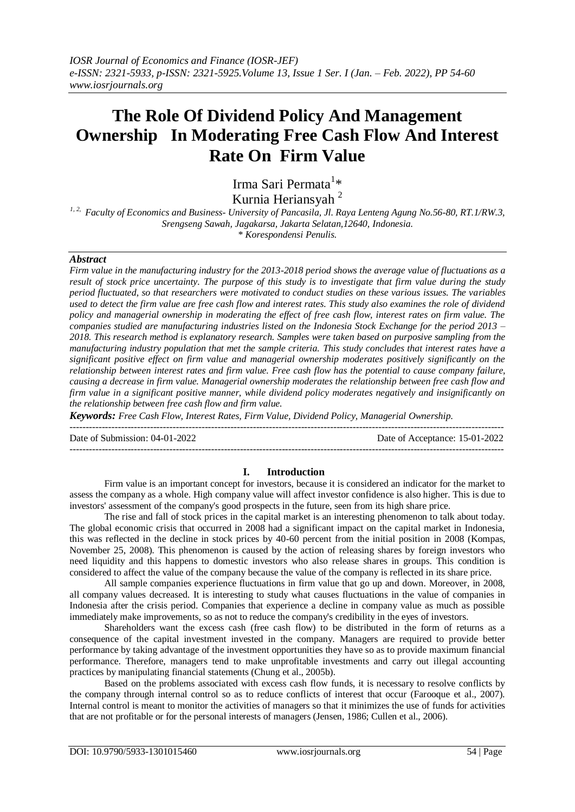# **The Role Of Dividend Policy And Management Ownership In Moderating Free Cash Flow And Interest Rate On Firm Value**

Irma Sari Permata<sup>1</sup>\* Kurnia Heriansyah <sup>2</sup>

*1, 2, Faculty of Economics and Business- University of Pancasila, Jl. Raya Lenteng Agung No.56-80, RT.1/RW.3, Srengseng Sawah, Jagakarsa, Jakarta Selatan,12640, Indonesia. \* Korespondensi Penulis.* 

## *Abstract*

*Firm value in the manufacturing industry for the 2013-2018 period shows the average value of fluctuations as a result of stock price uncertainty. The purpose of this study is to investigate that firm value during the study period fluctuated, so that researchers were motivated to conduct studies on these various issues. The variables used to detect the firm value are free cash flow and interest rates. This study also examines the role of dividend policy and managerial ownership in moderating the effect of free cash flow, interest rates on firm value. The companies studied are manufacturing industries listed on the Indonesia Stock Exchange for the period 2013 – 2018. This research method is explanatory research. Samples were taken based on purposive sampling from the manufacturing industry population that met the sample criteria. This study concludes that interest rates have a significant positive effect on firm value and managerial ownership moderates positively significantly on the relationship between interest rates and firm value. Free cash flow has the potential to cause company failure, causing a decrease in firm value. Managerial ownership moderates the relationship between free cash flow and firm value in a significant positive manner, while dividend policy moderates negatively and insignificantly on the relationship between free cash flow and firm value.*

*Keywords: Free Cash Flow, Interest Rates, Firm Value, Dividend Policy, Managerial Ownership.*

--------------------------------------------------------------------------------------------------------------------------------------- Date of Submission: 04-01-2022 Date of Acceptance: 15-01-2022 ---------------------------------------------------------------------------------------------------------------------------------------

## **I. Introduction**

Firm value is an important concept for investors, because it is considered an indicator for the market to assess the company as a whole. High company value will affect investor confidence is also higher. This is due to investors' assessment of the company's good prospects in the future, seen from its high share price.

The rise and fall of stock prices in the capital market is an interesting phenomenon to talk about today. The global economic crisis that occurred in 2008 had a significant impact on the capital market in Indonesia, this was reflected in the decline in stock prices by 40-60 percent from the initial position in 2008 (Kompas, November 25, 2008). This phenomenon is caused by the action of releasing shares by foreign investors who need liquidity and this happens to domestic investors who also release shares in groups. This condition is considered to affect the value of the company because the value of the company is reflected in its share price.

All sample companies experience fluctuations in firm value that go up and down. Moreover, in 2008, all company values decreased. It is interesting to study what causes fluctuations in the value of companies in Indonesia after the crisis period. Companies that experience a decline in company value as much as possible immediately make improvements, so as not to reduce the company's credibility in the eyes of investors.

Shareholders want the excess cash (free cash flow) to be distributed in the form of returns as a consequence of the capital investment invested in the company. Managers are required to provide better performance by taking advantage of the investment opportunities they have so as to provide maximum financial performance. Therefore, managers tend to make unprofitable investments and carry out illegal accounting practices by manipulating financial statements (Chung et al., 2005b).

Based on the problems associated with excess cash flow funds, it is necessary to resolve conflicts by the company through internal control so as to reduce conflicts of interest that occur (Farooque et al., 2007). Internal control is meant to monitor the activities of managers so that it minimizes the use of funds for activities that are not profitable or for the personal interests of managers (Jensen, 1986; Cullen et al., 2006).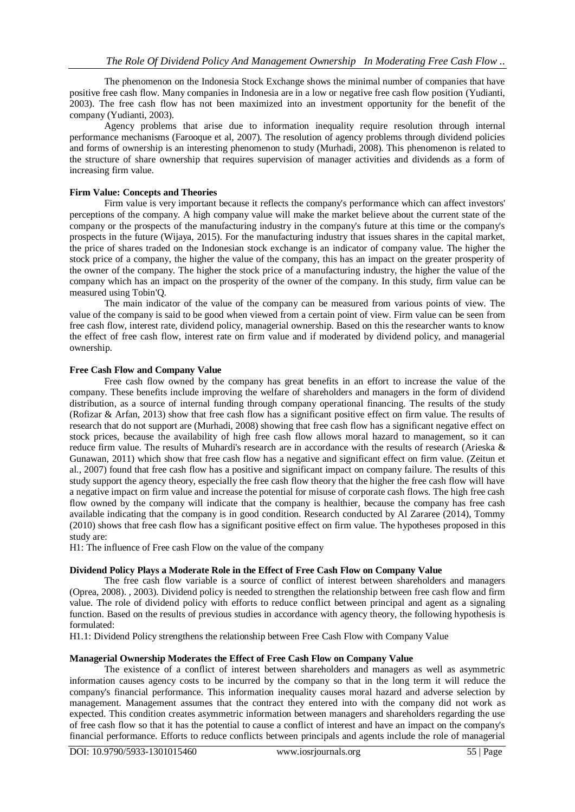The phenomenon on the Indonesia Stock Exchange shows the minimal number of companies that have positive free cash flow. Many companies in Indonesia are in a low or negative free cash flow position (Yudianti, 2003). The free cash flow has not been maximized into an investment opportunity for the benefit of the company (Yudianti, 2003).

Agency problems that arise due to information inequality require resolution through internal performance mechanisms (Farooque et al, 2007). The resolution of agency problems through dividend policies and forms of ownership is an interesting phenomenon to study (Murhadi, 2008). This phenomenon is related to the structure of share ownership that requires supervision of manager activities and dividends as a form of increasing firm value.

## **Firm Value: Concepts and Theories**

Firm value is very important because it reflects the company's performance which can affect investors' perceptions of the company. A high company value will make the market believe about the current state of the company or the prospects of the manufacturing industry in the company's future at this time or the company's prospects in the future (Wijaya, 2015). For the manufacturing industry that issues shares in the capital market, the price of shares traded on the Indonesian stock exchange is an indicator of company value. The higher the stock price of a company, the higher the value of the company, this has an impact on the greater prosperity of the owner of the company. The higher the stock price of a manufacturing industry, the higher the value of the company which has an impact on the prosperity of the owner of the company. In this study, firm value can be measured using Tobin'Q.

The main indicator of the value of the company can be measured from various points of view. The value of the company is said to be good when viewed from a certain point of view. Firm value can be seen from free cash flow, interest rate, dividend policy, managerial ownership. Based on this the researcher wants to know the effect of free cash flow, interest rate on firm value and if moderated by dividend policy, and managerial ownership.

## **Free Cash Flow and Company Value**

Free cash flow owned by the company has great benefits in an effort to increase the value of the company. These benefits include improving the welfare of shareholders and managers in the form of dividend distribution, as a source of internal funding through company operational financing. The results of the study (Rofizar & Arfan, 2013) show that free cash flow has a significant positive effect on firm value. The results of research that do not support are (Murhadi, 2008) showing that free cash flow has a significant negative effect on stock prices, because the availability of high free cash flow allows moral hazard to management, so it can reduce firm value. The results of Muhardi's research are in accordance with the results of research (Arieska & Gunawan, 2011) which show that free cash flow has a negative and significant effect on firm value. (Zeitun et al., 2007) found that free cash flow has a positive and significant impact on company failure. The results of this study support the agency theory, especially the free cash flow theory that the higher the free cash flow will have a negative impact on firm value and increase the potential for misuse of corporate cash flows. The high free cash flow owned by the company will indicate that the company is healthier, because the company has free cash available indicating that the company is in good condition. Research conducted by Al Zararee (2014), Tommy (2010) shows that free cash flow has a significant positive effect on firm value. The hypotheses proposed in this study are:

H1: The influence of Free cash Flow on the value of the company

## **Dividend Policy Plays a Moderate Role in the Effect of Free Cash Flow on Company Value**

The free cash flow variable is a source of conflict of interest between shareholders and managers (Oprea, 2008). , 2003). Dividend policy is needed to strengthen the relationship between free cash flow and firm value. The role of dividend policy with efforts to reduce conflict between principal and agent as a signaling function. Based on the results of previous studies in accordance with agency theory, the following hypothesis is formulated:

H1.1: Dividend Policy strengthens the relationship between Free Cash Flow with Company Value

# **Managerial Ownership Moderates the Effect of Free Cash Flow on Company Value**

The existence of a conflict of interest between shareholders and managers as well as asymmetric information causes agency costs to be incurred by the company so that in the long term it will reduce the company's financial performance. This information inequality causes moral hazard and adverse selection by management. Management assumes that the contract they entered into with the company did not work as expected. This condition creates asymmetric information between managers and shareholders regarding the use of free cash flow so that it has the potential to cause a conflict of interest and have an impact on the company's financial performance. Efforts to reduce conflicts between principals and agents include the role of managerial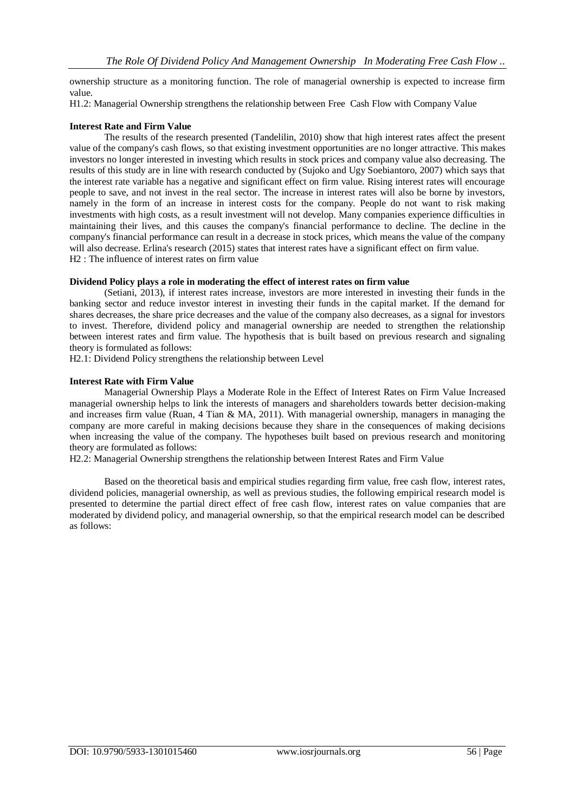ownership structure as a monitoring function. The role of managerial ownership is expected to increase firm value.

H1.2: Managerial Ownership strengthens the relationship between Free Cash Flow with Company Value

## **Interest Rate and Firm Value**

The results of the research presented (Tandelilin, 2010) show that high interest rates affect the present value of the company's cash flows, so that existing investment opportunities are no longer attractive. This makes investors no longer interested in investing which results in stock prices and company value also decreasing. The results of this study are in line with research conducted by (Sujoko and Ugy Soebiantoro, 2007) which says that the interest rate variable has a negative and significant effect on firm value. Rising interest rates will encourage people to save, and not invest in the real sector. The increase in interest rates will also be borne by investors, namely in the form of an increase in interest costs for the company. People do not want to risk making investments with high costs, as a result investment will not develop. Many companies experience difficulties in maintaining their lives, and this causes the company's financial performance to decline. The decline in the company's financial performance can result in a decrease in stock prices, which means the value of the company will also decrease. Erlina's research (2015) states that interest rates have a significant effect on firm value. H2 : The influence of interest rates on firm value

## **Dividend Policy plays a role in moderating the effect of interest rates on firm value**

(Setiani, 2013), if interest rates increase, investors are more interested in investing their funds in the banking sector and reduce investor interest in investing their funds in the capital market. If the demand for shares decreases, the share price decreases and the value of the company also decreases, as a signal for investors to invest. Therefore, dividend policy and managerial ownership are needed to strengthen the relationship between interest rates and firm value. The hypothesis that is built based on previous research and signaling theory is formulated as follows:

H2.1: Dividend Policy strengthens the relationship between Level

## **Interest Rate with Firm Value**

Managerial Ownership Plays a Moderate Role in the Effect of Interest Rates on Firm Value Increased managerial ownership helps to link the interests of managers and shareholders towards better decision-making and increases firm value (Ruan, 4 Tian & MA, 2011). With managerial ownership, managers in managing the company are more careful in making decisions because they share in the consequences of making decisions when increasing the value of the company. The hypotheses built based on previous research and monitoring theory are formulated as follows:

H2.2: Managerial Ownership strengthens the relationship between Interest Rates and Firm Value

Based on the theoretical basis and empirical studies regarding firm value, free cash flow, interest rates, dividend policies, managerial ownership, as well as previous studies, the following empirical research model is presented to determine the partial direct effect of free cash flow, interest rates on value companies that are moderated by dividend policy, and managerial ownership, so that the empirical research model can be described as follows: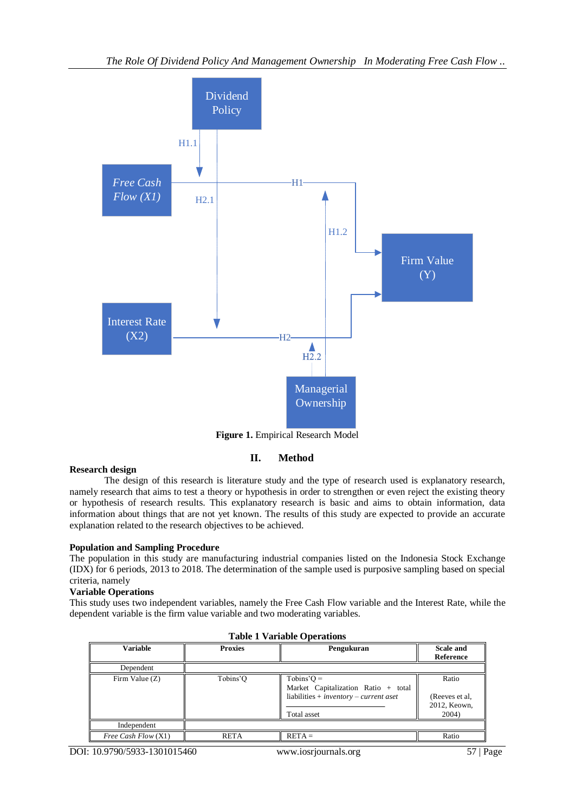

**Figure 1.** Empirical Research Model

# **II. Method**

# **Research design**

The design of this research is literature study and the type of research used is explanatory research, namely research that aims to test a theory or hypothesis in order to strengthen or even reject the existing theory or hypothesis of research results. This explanatory research is basic and aims to obtain information, data information about things that are not yet known. The results of this study are expected to provide an accurate explanation related to the research objectives to be achieved.

# **Population and Sampling Procedure**

The population in this study are manufacturing industrial companies listed on the Indonesia Stock Exchange (IDX) for 6 periods, 2013 to 2018. The determination of the sample used is purposive sampling based on special criteria, namely

# **Variable Operations**

This study uses two independent variables, namely the Free Cash Flow variable and the Interest Rate, while the dependent variable is the firm value variable and two moderating variables.

| rabit 1 variable Operations |                |                                                                                                                         |                                                  |  |  |  |  |
|-----------------------------|----------------|-------------------------------------------------------------------------------------------------------------------------|--------------------------------------------------|--|--|--|--|
| Variable                    | <b>Proxies</b> | Pengukuran                                                                                                              | <b>Scale and</b><br>Reference                    |  |  |  |  |
| Dependent                   |                |                                                                                                                         |                                                  |  |  |  |  |
| Firm Value (Z)              | Tobins'O       | $Tobins'O =$<br>Market Capitalization Ratio + total<br>liabilities + $\textit{inventory}$ – current aset<br>Total asset | Ratio<br>(Reeves et al.<br>2012, Keown,<br>2004) |  |  |  |  |
| Independent                 |                |                                                                                                                         |                                                  |  |  |  |  |
| Free Cash Flow (X1)         | <b>RETA</b>    | $RETA =$                                                                                                                | Ratio                                            |  |  |  |  |

**Table 1 Variable Operations**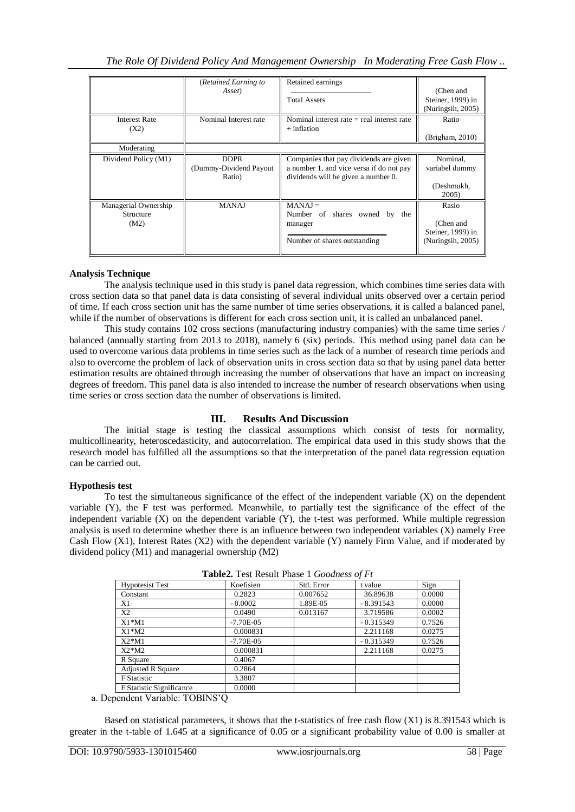|                                           | (Retained Earning to<br>Asset)                  | Retained earnings<br><b>Total Assets</b>                                                                                  | (Chen and<br>Steiner, 1999) in<br>(Nuringsih, 2005)          |
|-------------------------------------------|-------------------------------------------------|---------------------------------------------------------------------------------------------------------------------------|--------------------------------------------------------------|
| <b>Interest Rate</b><br>(X2)              | Nominal Interest rate                           | Nominal interest rate $=$ real interest rate<br>$+$ inflation                                                             | Ratio<br>(Brigham, 2010)                                     |
| Moderating                                |                                                 |                                                                                                                           |                                                              |
| Dividend Policy (M1)                      | <b>DDPR</b><br>(Dummy-Dividend Payout<br>Ratio) | Companies that pay dividends are given<br>a number 1, and vice versa if do not pay<br>dividends will be given a number 0. | Nominal,<br>variabel dummy<br>(Deshmukh,<br>2005)            |
| Managerial Ownership<br>Structure<br>(M2) | <b>MANAJ</b>                                    | $MANAI =$<br>Number of shares owned<br>the<br>by<br>manager<br>Number of shares outstanding                               | Rasio<br>(Chen and<br>Steiner, 1999) in<br>(Nuringsih, 2005) |

## **Analysis Technique**

The analysis technique used in this study is panel data regression, which combines time series data with cross section data so that panel data is data consisting of several individual units observed over a certain period of time. If each cross section unit has the same number of time series observations, it is called a balanced panel, while if the number of observations is different for each cross section unit, it is called an unbalanced panel.

This study contains 102 cross sections (manufacturing industry companies) with the same time series / balanced (annually starting from 2013 to 2018), namely 6 (six) periods. This method using panel data can be used to overcome various data problems in time series such as the lack of a number of research time periods and also to overcome the problem of lack of observation units in cross section data so that by using panel data better estimation results are obtained through increasing the number of observations that have an impact on increasing degrees of freedom. This panel data is also intended to increase the number of research observations when using time series or cross section data the number of observations is limited.

# **III. Results And Discussion**

The initial stage is testing the classical assumptions which consist of tests for normality, multicollinearity, heteroscedasticity, and autocorrelation. The empirical data used in this study shows that the research model has fulfilled all the assumptions so that the interpretation of the panel data regression equation can be carried out.

## **Hypothesis test**

To test the simultaneous significance of the effect of the independent variable (X) on the dependent variable (Y), the F test was performed. Meanwhile, to partially test the significance of the effect of the independent variable  $(X)$  on the dependent variable  $(Y)$ , the t-test was performed. While multiple regression analysis is used to determine whether there is an influence between two independent variables (X) namely Free Cash Flow (X1), Interest Rates (X2) with the dependent variable (Y) namely Firm Value, and if moderated by dividend policy (M1) and managerial ownership (M2)

| <b>Table2.</b> Test Result Filase 1 <i>Obbuness 0</i> 1 Ft |               |            |             |        |  |  |  |
|------------------------------------------------------------|---------------|------------|-------------|--------|--|--|--|
| <b>Hypotesist Test</b>                                     | Koefisien     | Std. Error | t value     | Sign   |  |  |  |
| Constant                                                   | 0.2823        | 0.007652   | 36.89638    | 0.0000 |  |  |  |
| Χ1                                                         | $-0.0002$     | 1.89E-05   | $-8.391543$ | 0.0000 |  |  |  |
| X2                                                         | 0.0490        | 0.013167   | 3.719586    | 0.0002 |  |  |  |
| $X1^*M1$                                                   | $-7.70E - 05$ |            | $-0.315349$ | 0.7526 |  |  |  |
| $X1^*M2$                                                   | 0.000831      |            | 2.211168    | 0.0275 |  |  |  |
| $X2*M1$                                                    | $-7.70E - 05$ |            | $-0.315349$ | 0.7526 |  |  |  |
| $X2^*M2$                                                   | 0.000831      |            | 2.211168    | 0.0275 |  |  |  |
| R Square                                                   | 0.4067        |            |             |        |  |  |  |
| <b>Adjusted R Square</b>                                   | 0.2864        |            |             |        |  |  |  |
| <b>F</b> Statistic                                         | 3.3807        |            |             |        |  |  |  |
| F Statistic Significance                                   | 0.0000        |            |             |        |  |  |  |

**Table2.** Test Result Phase 1 *Goodness of Ft*

a. Dependent Variable: TOBINS'Q

Based on statistical parameters, it shows that the t-statistics of free cash flow (X1) is 8.391543 which is greater in the t-table of 1.645 at a significance of 0.05 or a significant probability value of 0.00 is smaller at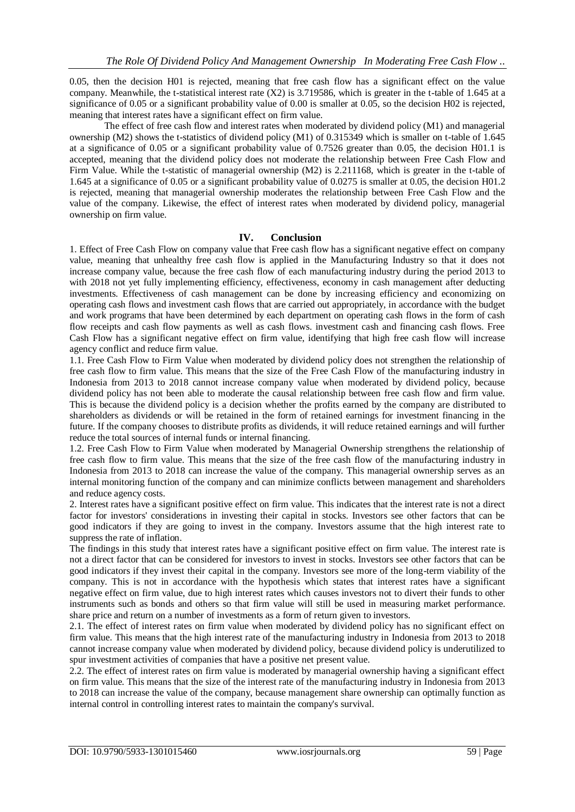0.05, then the decision H01 is rejected, meaning that free cash flow has a significant effect on the value company. Meanwhile, the t-statistical interest rate (X2) is 3.719586, which is greater in the t-table of 1.645 at a significance of 0.05 or a significant probability value of 0.00 is smaller at 0.05, so the decision H02 is rejected, meaning that interest rates have a significant effect on firm value.

The effect of free cash flow and interest rates when moderated by dividend policy (M1) and managerial ownership (M2) shows the t-statistics of dividend policy (M1) of 0.315349 which is smaller on t-table of 1.645 at a significance of 0.05 or a significant probability value of 0.7526 greater than 0.05, the decision H01.1 is accepted, meaning that the dividend policy does not moderate the relationship between Free Cash Flow and Firm Value. While the t-statistic of managerial ownership (M2) is 2.211168, which is greater in the t-table of 1.645 at a significance of 0.05 or a significant probability value of 0.0275 is smaller at 0.05, the decision H01.2 is rejected, meaning that managerial ownership moderates the relationship between Free Cash Flow and the value of the company. Likewise, the effect of interest rates when moderated by dividend policy, managerial ownership on firm value.

## **IV. Conclusion**

1. Effect of Free Cash Flow on company value that Free cash flow has a significant negative effect on company value, meaning that unhealthy free cash flow is applied in the Manufacturing Industry so that it does not increase company value, because the free cash flow of each manufacturing industry during the period 2013 to with 2018 not yet fully implementing efficiency, effectiveness, economy in cash management after deducting investments. Effectiveness of cash management can be done by increasing efficiency and economizing on operating cash flows and investment cash flows that are carried out appropriately, in accordance with the budget and work programs that have been determined by each department on operating cash flows in the form of cash flow receipts and cash flow payments as well as cash flows. investment cash and financing cash flows. Free Cash Flow has a significant negative effect on firm value, identifying that high free cash flow will increase agency conflict and reduce firm value.

1.1. Free Cash Flow to Firm Value when moderated by dividend policy does not strengthen the relationship of free cash flow to firm value. This means that the size of the Free Cash Flow of the manufacturing industry in Indonesia from 2013 to 2018 cannot increase company value when moderated by dividend policy, because dividend policy has not been able to moderate the causal relationship between free cash flow and firm value. This is because the dividend policy is a decision whether the profits earned by the company are distributed to shareholders as dividends or will be retained in the form of retained earnings for investment financing in the future. If the company chooses to distribute profits as dividends, it will reduce retained earnings and will further reduce the total sources of internal funds or internal financing.

1.2. Free Cash Flow to Firm Value when moderated by Managerial Ownership strengthens the relationship of free cash flow to firm value. This means that the size of the free cash flow of the manufacturing industry in Indonesia from 2013 to 2018 can increase the value of the company. This managerial ownership serves as an internal monitoring function of the company and can minimize conflicts between management and shareholders and reduce agency costs.

2. Interest rates have a significant positive effect on firm value. This indicates that the interest rate is not a direct factor for investors' considerations in investing their capital in stocks. Investors see other factors that can be good indicators if they are going to invest in the company. Investors assume that the high interest rate to suppress the rate of inflation.

The findings in this study that interest rates have a significant positive effect on firm value. The interest rate is not a direct factor that can be considered for investors to invest in stocks. Investors see other factors that can be good indicators if they invest their capital in the company. Investors see more of the long-term viability of the company. This is not in accordance with the hypothesis which states that interest rates have a significant negative effect on firm value, due to high interest rates which causes investors not to divert their funds to other instruments such as bonds and others so that firm value will still be used in measuring market performance. share price and return on a number of investments as a form of return given to investors.

2.1. The effect of interest rates on firm value when moderated by dividend policy has no significant effect on firm value. This means that the high interest rate of the manufacturing industry in Indonesia from 2013 to 2018 cannot increase company value when moderated by dividend policy, because dividend policy is underutilized to spur investment activities of companies that have a positive net present value.

2.2. The effect of interest rates on firm value is moderated by managerial ownership having a significant effect on firm value. This means that the size of the interest rate of the manufacturing industry in Indonesia from 2013 to 2018 can increase the value of the company, because management share ownership can optimally function as internal control in controlling interest rates to maintain the company's survival.